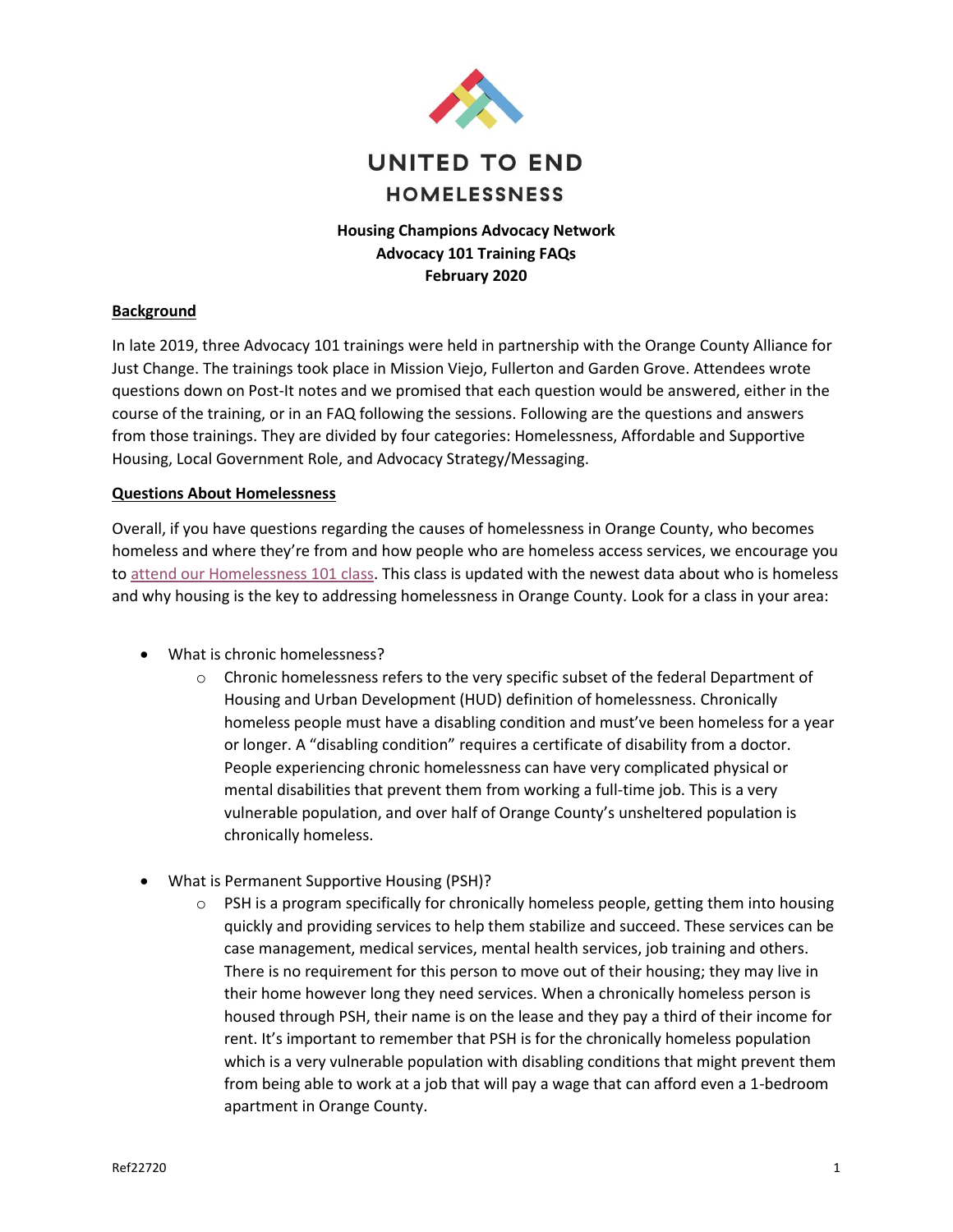

# **Housing Champions Advocacy Network Advocacy 101 Training FAQs February 2020**

## **Background**

In late 2019, three Advocacy 101 trainings were held in partnership with the Orange County Alliance for Just Change. The trainings took place in Mission Viejo, Fullerton and Garden Grove. Attendees wrote questions down on Post-It notes and we promised that each question would be answered, either in the course of the training, or in an FAQ following the sessions. Following are the questions and answers from those trainings. They are divided by four categories: Homelessness, Affordable and Supportive Housing, Local Government Role, and Advocacy Strategy/Messaging.

## **Questions About Homelessness**

Overall, if you have questions regarding the causes of homelessness in Orange County, who becomes homeless and where they're from and how people who are homeless access services, we encourage you to [attend our Homelessness 101 class.](https://www.eventbrite.com/o/united-to-end-homelessness-19985632942) This class is updated with the newest data about who is homeless and why housing is the key to addressing homelessness in Orange County. Look for a class in your area:

- What is chronic homelessness?
	- $\circ$  Chronic homelessness refers to the very specific subset of the federal Department of Housing and Urban Development (HUD) definition of homelessness. Chronically homeless people must have a disabling condition and must've been homeless for a year or longer. A "disabling condition" requires a certificate of disability from a doctor. People experiencing chronic homelessness can have very complicated physical or mental disabilities that prevent them from working a full-time job. This is a very vulnerable population, and over half of Orange County's unsheltered population is chronically homeless.
- What is Permanent Supportive Housing (PSH)?
	- $\circ$  PSH is a program specifically for chronically homeless people, getting them into housing quickly and providing services to help them stabilize and succeed. These services can be case management, medical services, mental health services, job training and others. There is no requirement for this person to move out of their housing; they may live in their home however long they need services. When a chronically homeless person is housed through PSH, their name is on the lease and they pay a third of their income for rent. It's important to remember that PSH is for the chronically homeless population which is a very vulnerable population with disabling conditions that might prevent them from being able to work at a job that will pay a wage that can afford even a 1-bedroom apartment in Orange County.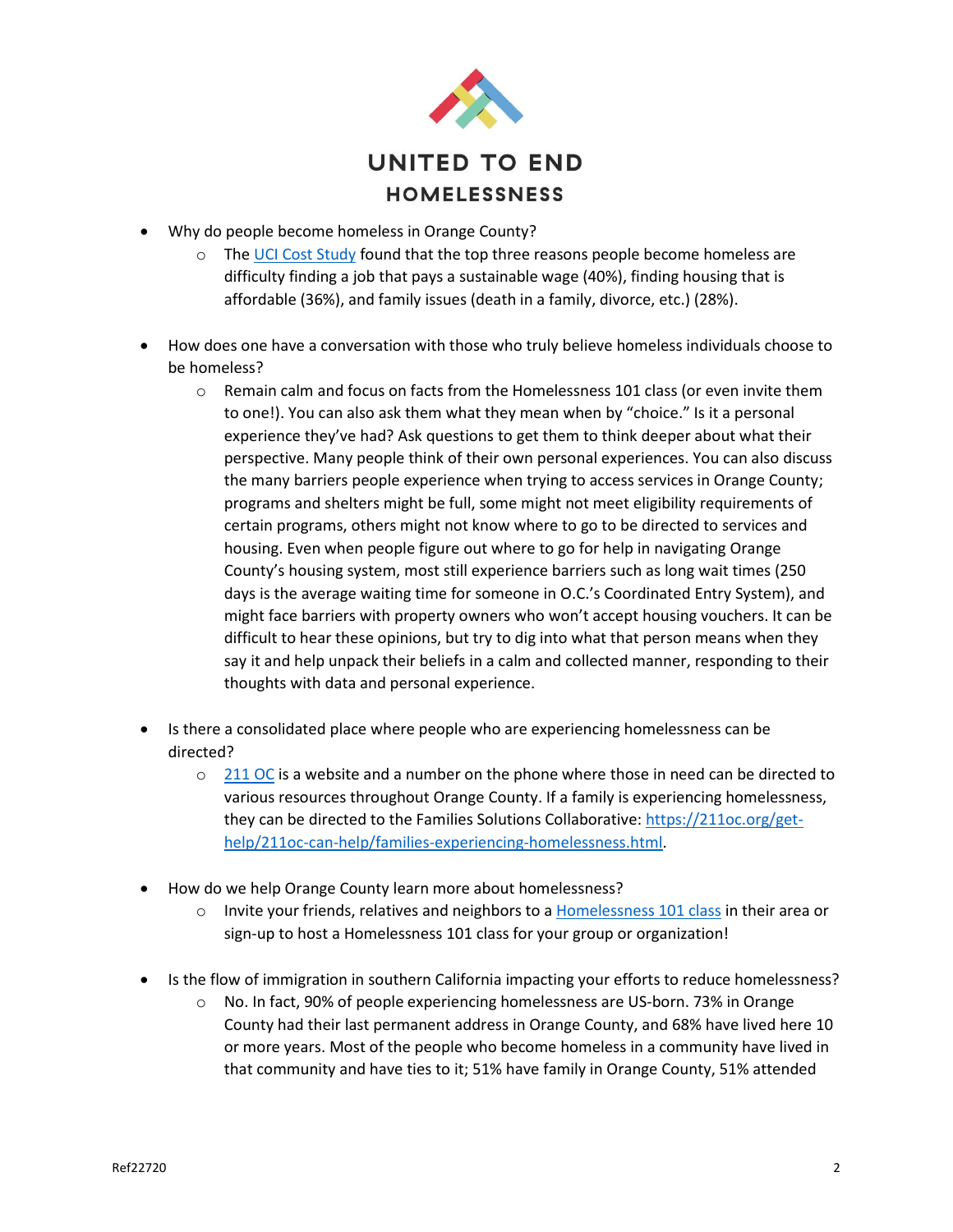

- Why do people become homeless in Orange County?
	- $\circ$  The [UCI Cost Study](https://www.unitedwayoc.org/wp-content/uploads/2017/03/Orange-County-Cost-Study-Homeless-Executive-Summary.pdf) found that the top three reasons people become homeless are difficulty finding a job that pays a sustainable wage (40%), finding housing that is affordable (36%), and family issues (death in a family, divorce, etc.) (28%).
- How does one have a conversation with those who truly believe homeless individuals choose to be homeless?
	- $\circ$  Remain calm and focus on facts from the Homelessness 101 class (or even invite them to one!). You can also ask them what they mean when by "choice." Is it a personal experience they've had? Ask questions to get them to think deeper about what their perspective. Many people think of their own personal experiences. You can also discuss the many barriers people experience when trying to access services in Orange County; programs and shelters might be full, some might not meet eligibility requirements of certain programs, others might not know where to go to be directed to services and housing. Even when people figure out where to go for help in navigating Orange County's housing system, most still experience barriers such as long wait times (250 days is the average waiting time for someone in O.C.'s Coordinated Entry System), and might face barriers with property owners who won't accept housing vouchers. It can be difficult to hear these opinions, but try to dig into what that person means when they say it and help unpack their beliefs in a calm and collected manner, responding to their thoughts with data and personal experience.
- Is there a consolidated place where people who are experiencing homelessness can be directed?
	- $\circ$  [211 OC](https://211oc.org/) is a website and a number on the phone where those in need can be directed to various resources throughout Orange County. If a family is experiencing homelessness, they can be directed to the Families Solutions Collaborative: [https://211oc.org/get](https://211oc.org/get-help/211oc-can-help/families-experiencing-homelessness.html)[help/211oc-can-help/families-experiencing-homelessness.html.](https://211oc.org/get-help/211oc-can-help/families-experiencing-homelessness.html)
- How do we help Orange County learn more about homelessness?
	- $\circ$  Invite your friends, relatives and neighbors to [a Homelessness 101 class](https://www.eventbrite.com/o/united-to-end-homelessness-19985632942) in their area or sign-up to host a Homelessness 101 class for your group or organization!
- Is the flow of immigration in southern California impacting your efforts to reduce homelessness?
	- No. In fact, 90% of people experiencing homelessness are US-born. 73% in Orange County had their last permanent address in Orange County, and 68% have lived here 10 or more years. Most of the people who become homeless in a community have lived in that community and have ties to it; 51% have family in Orange County, 51% attended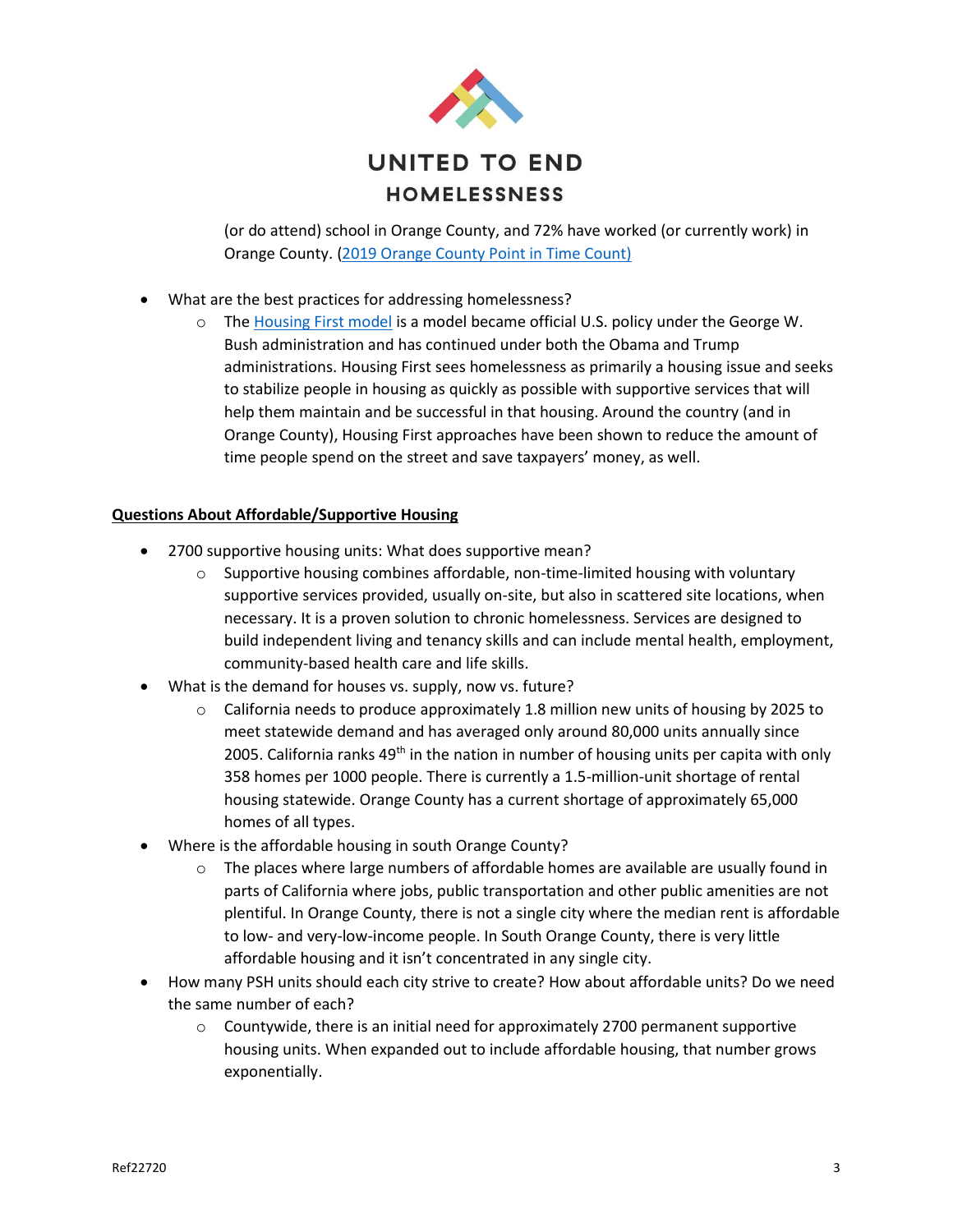

(or do attend) school in Orange County, and 72% have worked (or currently work) in Orange County. [\(2019 Orange County Point in Time Count\)](https://www.santa-ana.org/sites/default/files/2019%20PIT%20Data%20Summary.pdf)

- What are the best practices for addressing homelessness?
	- o The [Housing First model](https://endhomelessness.org/resource/housing-first/) is a model became official U.S. policy under the George W. Bush administration and has continued under both the Obama and Trump administrations. Housing First sees homelessness as primarily a housing issue and seeks to stabilize people in housing as quickly as possible with supportive services that will help them maintain and be successful in that housing. Around the country (and in Orange County), Housing First approaches have been shown to reduce the amount of time people spend on the street and save taxpayers' money, as well.

## **Questions About Affordable/Supportive Housing**

- 2700 supportive housing units: What does supportive mean?
	- $\circ$  Supportive housing combines affordable, non-time-limited housing with voluntary supportive services provided, usually on-site, but also in scattered site locations, when necessary. It is a proven solution to chronic homelessness. Services are designed to build independent living and tenancy skills and can include mental health, employment, community-based health care and life skills.
- What is the demand for houses vs. supply, now vs. future?
	- $\circ$  California needs to produce approximately 1.8 million new units of housing by 2025 to meet statewide demand and has averaged only around 80,000 units annually since 2005. California ranks  $49<sup>th</sup>$  in the nation in number of housing units per capita with only 358 homes per 1000 people. There is currently a 1.5-million-unit shortage of rental housing statewide. Orange County has a current shortage of approximately 65,000 homes of all types.
- Where is the affordable housing in south Orange County?
	- $\circ$  The places where large numbers of affordable homes are available are usually found in parts of California where jobs, public transportation and other public amenities are not plentiful. In Orange County, there is not a single city where the median rent is affordable to low- and very-low-income people. In South Orange County, there is very little affordable housing and it isn't concentrated in any single city.
- How many PSH units should each city strive to create? How about affordable units? Do we need the same number of each?
	- $\circ$  Countywide, there is an initial need for approximately 2700 permanent supportive housing units. When expanded out to include affordable housing, that number grows exponentially.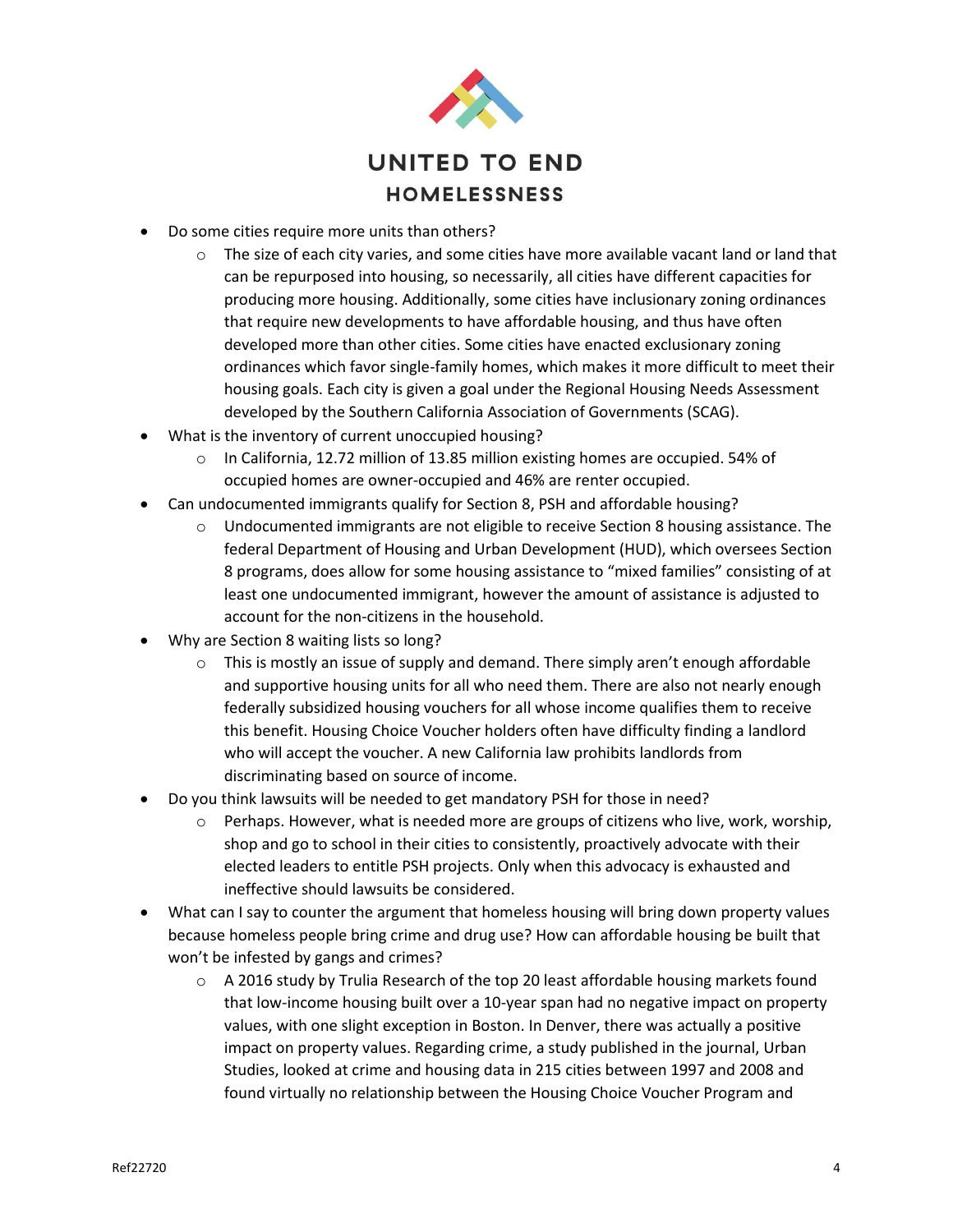

- Do some cities require more units than others?
	- $\circ$  The size of each city varies, and some cities have more available vacant land or land that can be repurposed into housing, so necessarily, all cities have different capacities for producing more housing. Additionally, some cities have inclusionary zoning ordinances that require new developments to have affordable housing, and thus have often developed more than other cities. Some cities have enacted exclusionary zoning ordinances which favor single-family homes, which makes it more difficult to meet their housing goals. Each city is given a goal under the Regional Housing Needs Assessment developed by the Southern California Association of Governments (SCAG).
- What is the inventory of current unoccupied housing?
	- o In California, 12.72 million of 13.85 million existing homes are occupied. 54% of occupied homes are owner-occupied and 46% are renter occupied.
- Can undocumented immigrants qualify for Section 8, PSH and affordable housing?
	- $\circ$  Undocumented immigrants are not eligible to receive Section 8 housing assistance. The federal Department of Housing and Urban Development (HUD), which oversees Section 8 programs, does allow for some housing assistance to "mixed families" consisting of at least one undocumented immigrant, however the amount of assistance is adjusted to account for the non-citizens in the household.
- Why are Section 8 waiting lists so long?
	- $\circ$  This is mostly an issue of supply and demand. There simply aren't enough affordable and supportive housing units for all who need them. There are also not nearly enough federally subsidized housing vouchers for all whose income qualifies them to receive this benefit. Housing Choice Voucher holders often have difficulty finding a landlord who will accept the voucher. A new California law prohibits landlords from discriminating based on source of income.
- Do you think lawsuits will be needed to get mandatory PSH for those in need?
	- $\circ$  Perhaps. However, what is needed more are groups of citizens who live, work, worship, shop and go to school in their cities to consistently, proactively advocate with their elected leaders to entitle PSH projects. Only when this advocacy is exhausted and ineffective should lawsuits be considered.
- What can I say to counter the argument that homeless housing will bring down property values because homeless people bring crime and drug use? How can affordable housing be built that won't be infested by gangs and crimes?
	- $\circ$  A 2016 study by Trulia Research of the top 20 least affordable housing markets found that low-income housing built over a 10-year span had no negative impact on property values, with one slight exception in Boston. In Denver, there was actually a positive impact on property values. Regarding crime, a study published in the journal, Urban Studies, looked at crime and housing data in 215 cities between 1997 and 2008 and found virtually no relationship between the Housing Choice Voucher Program and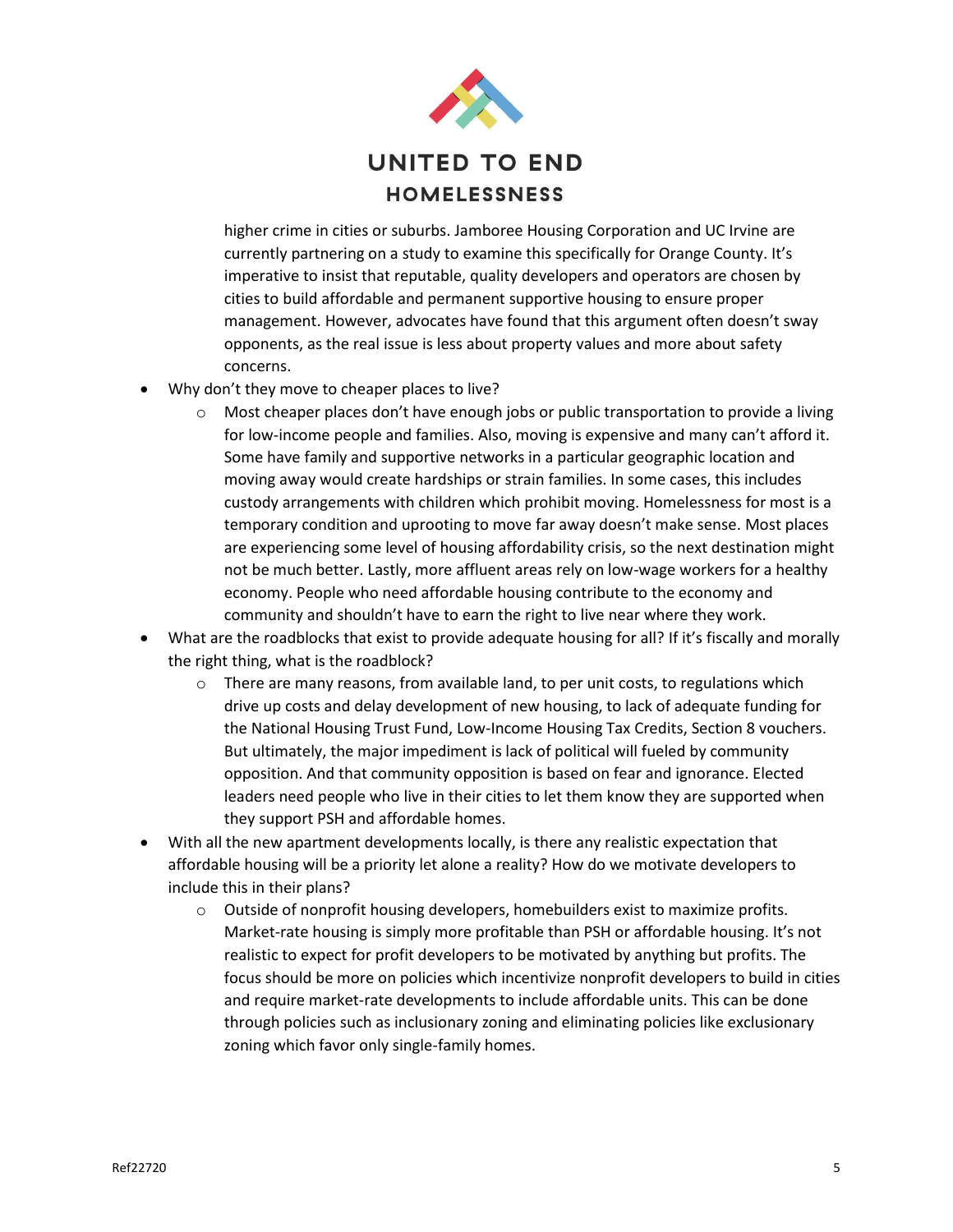

higher crime in cities or suburbs. Jamboree Housing Corporation and UC Irvine are currently partnering on a study to examine this specifically for Orange County. It's imperative to insist that reputable, quality developers and operators are chosen by cities to build affordable and permanent supportive housing to ensure proper management. However, advocates have found that this argument often doesn't sway opponents, as the real issue is less about property values and more about safety concerns.

- Why don't they move to cheaper places to live?
	- $\circ$  Most cheaper places don't have enough jobs or public transportation to provide a living for low-income people and families. Also, moving is expensive and many can't afford it. Some have family and supportive networks in a particular geographic location and moving away would create hardships or strain families. In some cases, this includes custody arrangements with children which prohibit moving. Homelessness for most is a temporary condition and uprooting to move far away doesn't make sense. Most places are experiencing some level of housing affordability crisis, so the next destination might not be much better. Lastly, more affluent areas rely on low-wage workers for a healthy economy. People who need affordable housing contribute to the economy and community and shouldn't have to earn the right to live near where they work.
- What are the roadblocks that exist to provide adequate housing for all? If it's fiscally and morally the right thing, what is the roadblock?
	- o There are many reasons, from available land, to per unit costs, to regulations which drive up costs and delay development of new housing, to lack of adequate funding for the National Housing Trust Fund, Low-Income Housing Tax Credits, Section 8 vouchers. But ultimately, the major impediment is lack of political will fueled by community opposition. And that community opposition is based on fear and ignorance. Elected leaders need people who live in their cities to let them know they are supported when they support PSH and affordable homes.
- With all the new apartment developments locally, is there any realistic expectation that affordable housing will be a priority let alone a reality? How do we motivate developers to include this in their plans?
	- $\circ$  Outside of nonprofit housing developers, homebuilders exist to maximize profits. Market-rate housing is simply more profitable than PSH or affordable housing. It's not realistic to expect for profit developers to be motivated by anything but profits. The focus should be more on policies which incentivize nonprofit developers to build in cities and require market-rate developments to include affordable units. This can be done through policies such as inclusionary zoning and eliminating policies like exclusionary zoning which favor only single-family homes.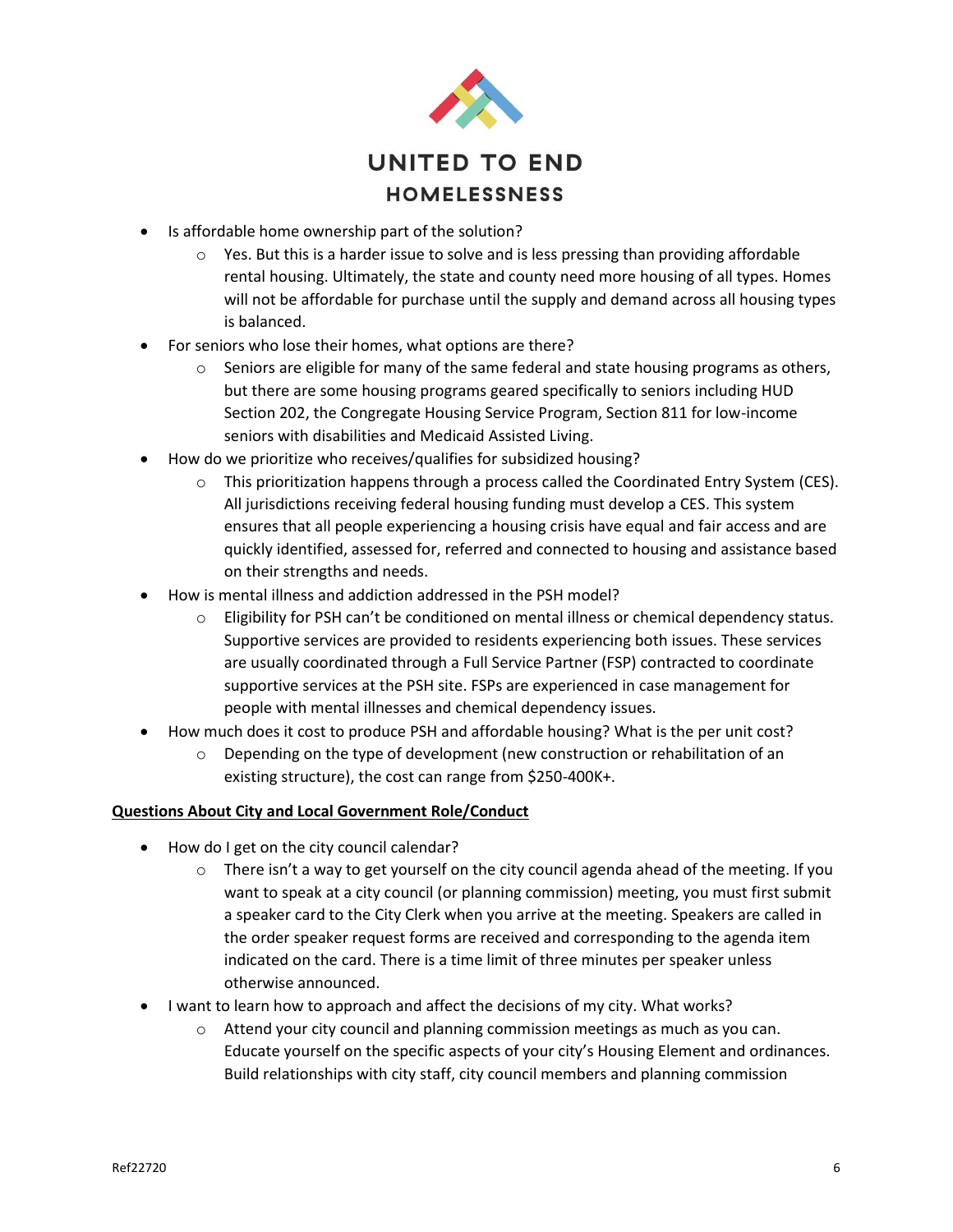

- Is affordable home ownership part of the solution?
	- $\circ$  Yes. But this is a harder issue to solve and is less pressing than providing affordable rental housing. Ultimately, the state and county need more housing of all types. Homes will not be affordable for purchase until the supply and demand across all housing types is balanced.
- For seniors who lose their homes, what options are there?
	- $\circ$  Seniors are eligible for many of the same federal and state housing programs as others, but there are some housing programs geared specifically to seniors including HUD Section 202, the Congregate Housing Service Program, Section 811 for low-income seniors with disabilities and Medicaid Assisted Living.
- How do we prioritize who receives/qualifies for subsidized housing?
	- $\circ$  This prioritization happens through a process called the Coordinated Entry System (CES). All jurisdictions receiving federal housing funding must develop a CES. This system ensures that all people experiencing a housing crisis have equal and fair access and are quickly identified, assessed for, referred and connected to housing and assistance based on their strengths and needs.
- How is mental illness and addiction addressed in the PSH model?
	- $\circ$  Eligibility for PSH can't be conditioned on mental illness or chemical dependency status. Supportive services are provided to residents experiencing both issues. These services are usually coordinated through a Full Service Partner (FSP) contracted to coordinate supportive services at the PSH site. FSPs are experienced in case management for people with mental illnesses and chemical dependency issues.
- How much does it cost to produce PSH and affordable housing? What is the per unit cost?
	- $\circ$  Depending on the type of development (new construction or rehabilitation of an existing structure), the cost can range from \$250-400K+.

## **Questions About City and Local Government Role/Conduct**

- How do I get on the city council calendar?
	- $\circ$  There isn't a way to get yourself on the city council agenda ahead of the meeting. If you want to speak at a city council (or planning commission) meeting, you must first submit a speaker card to the City Clerk when you arrive at the meeting. Speakers are called in the order speaker request forms are received and corresponding to the agenda item indicated on the card. There is a time limit of three minutes per speaker unless otherwise announced.
- I want to learn how to approach and affect the decisions of my city. What works?
	- $\circ$  Attend your city council and planning commission meetings as much as you can. Educate yourself on the specific aspects of your city's Housing Element and ordinances. Build relationships with city staff, city council members and planning commission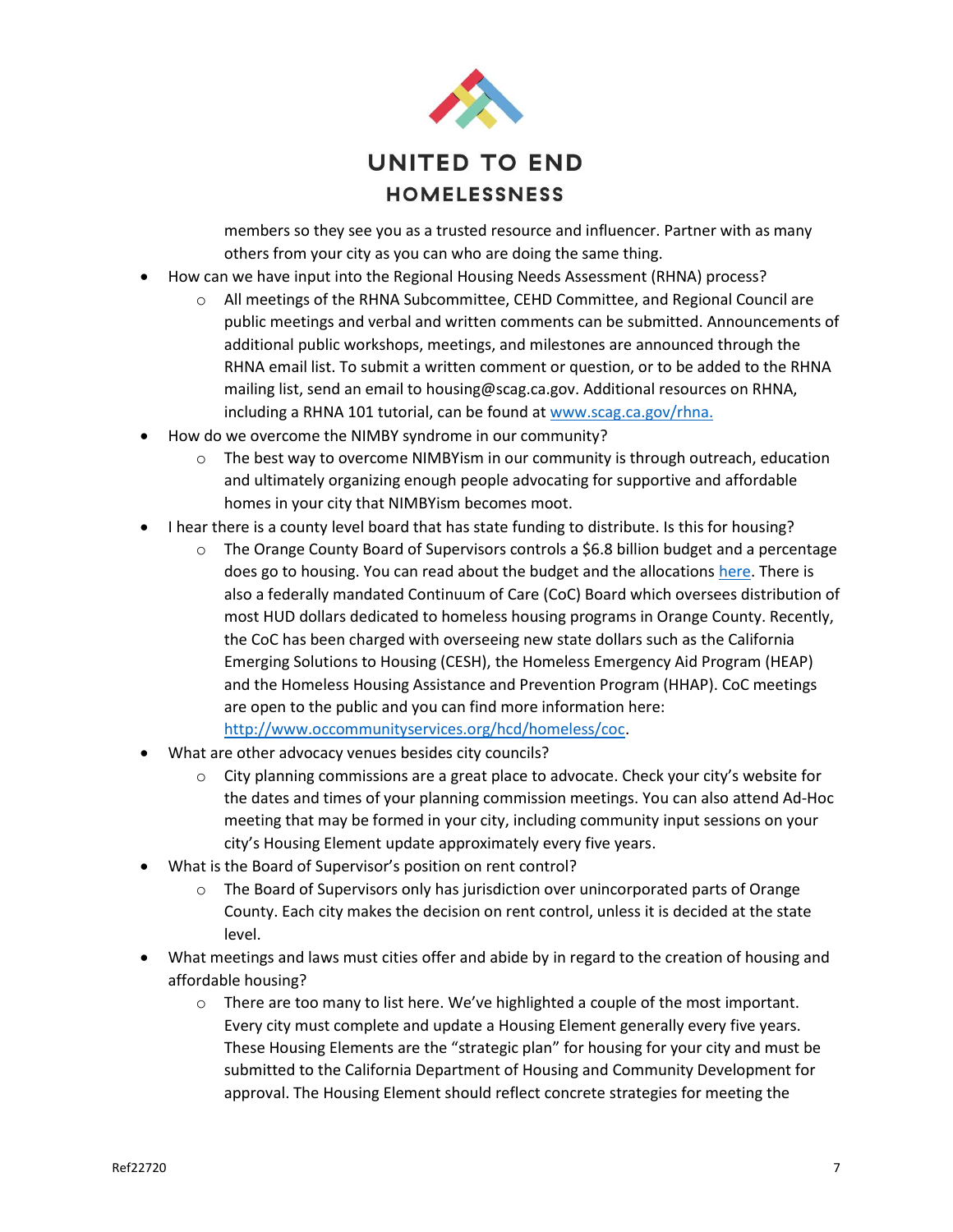

members so they see you as a trusted resource and influencer. Partner with as many others from your city as you can who are doing the same thing.

- How can we have input into the Regional Housing Needs Assessment (RHNA) process?
	- o All meetings of the RHNA Subcommittee, CEHD Committee, and Regional Council are public meetings and verbal and written comments can be submitted. Announcements of additional public workshops, meetings, and milestones are announced through the RHNA email list. To submit a written comment or question, or to be added to the RHNA mailing list, send an email to housing@scag.ca.gov. Additional resources on RHNA, including a RHNA 101 tutorial, can be found a[t www.scag.ca.gov/rhna.](http://www.scag.ca.gov/rhna)
- How do we overcome the NIMBY syndrome in our community?
	- $\circ$  The best way to overcome NIMBYism in our community is through outreach, education and ultimately organizing enough people advocating for supportive and affordable homes in your city that NIMBYism becomes moot.
- I hear there is a county level board that has state funding to distribute. Is this for housing?
	- $\circ$  The Orange County Board of Supervisors controls a \$6.8 billion budget and a percentage does go to housing. You can read about the budget and the allocations [here.](https://www.ocgov.com/gov/ceo/deputy/finance/budget) There is also a federally mandated Continuum of Care (CoC) Board which oversees distribution of most HUD dollars dedicated to homeless housing programs in Orange County. Recently, the CoC has been charged with overseeing new state dollars such as the California Emerging Solutions to Housing (CESH), the Homeless Emergency Aid Program (HEAP) and the Homeless Housing Assistance and Prevention Program (HHAP). CoC meetings are open to the public and you can find more information here: [http://www.occommunityservices.org/hcd/homeless/coc.](http://www.occommunityservices.org/hcd/homeless/coc)
- What are other advocacy venues besides city councils?
	- $\circ$  City planning commissions are a great place to advocate. Check your city's website for the dates and times of your planning commission meetings. You can also attend Ad-Hoc meeting that may be formed in your city, including community input sessions on your city's Housing Element update approximately every five years.
- What is the Board of Supervisor's position on rent control?
	- $\circ$  The Board of Supervisors only has jurisdiction over unincorporated parts of Orange County. Each city makes the decision on rent control, unless it is decided at the state level.
- What meetings and laws must cities offer and abide by in regard to the creation of housing and affordable housing?
	- $\circ$  There are too many to list here. We've highlighted a couple of the most important. Every city must complete and update a Housing Element generally every five years. These Housing Elements are the "strategic plan" for housing for your city and must be submitted to the California Department of Housing and Community Development for approval. The Housing Element should reflect concrete strategies for meeting the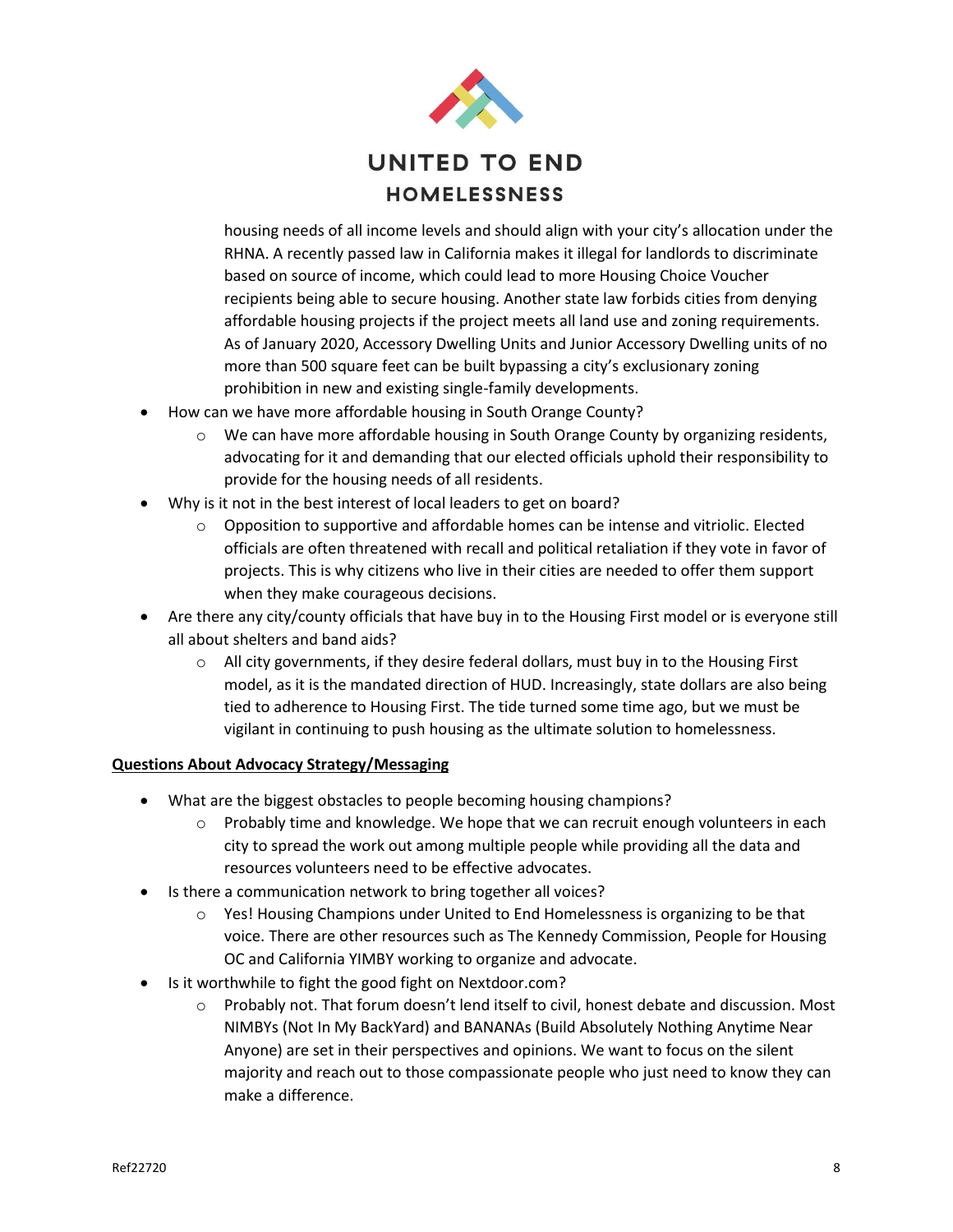

housing needs of all income levels and should align with your city's allocation under the RHNA. A recently passed law in California makes it illegal for landlords to discriminate based on source of income, which could lead to more Housing Choice Voucher recipients being able to secure housing. Another state law forbids cities from denying affordable housing projects if the project meets all land use and zoning requirements. As of January 2020, Accessory Dwelling Units and Junior Accessory Dwelling units of no more than 500 square feet can be built bypassing a city's exclusionary zoning prohibition in new and existing single-family developments.

- How can we have more affordable housing in South Orange County?
	- $\circ$  We can have more affordable housing in South Orange County by organizing residents, advocating for it and demanding that our elected officials uphold their responsibility to provide for the housing needs of all residents.
- Why is it not in the best interest of local leaders to get on board?
	- $\circ$  Opposition to supportive and affordable homes can be intense and vitriolic. Elected officials are often threatened with recall and political retaliation if they vote in favor of projects. This is why citizens who live in their cities are needed to offer them support when they make courageous decisions.
- Are there any city/county officials that have buy in to the Housing First model or is everyone still all about shelters and band aids?
	- $\circ$  All city governments, if they desire federal dollars, must buy in to the Housing First model, as it is the mandated direction of HUD. Increasingly, state dollars are also being tied to adherence to Housing First. The tide turned some time ago, but we must be vigilant in continuing to push housing as the ultimate solution to homelessness.

## **Questions About Advocacy Strategy/Messaging**

- What are the biggest obstacles to people becoming housing champions?
	- $\circ$  Probably time and knowledge. We hope that we can recruit enough volunteers in each city to spread the work out among multiple people while providing all the data and resources volunteers need to be effective advocates.
- Is there a communication network to bring together all voices?
	- $\circ$  Yes! Housing Champions under United to End Homelessness is organizing to be that voice. There are other resources such as The Kennedy Commission, People for Housing OC and California YIMBY working to organize and advocate.
- Is it worthwhile to fight the good fight on Nextdoor.com?
	- o Probably not. That forum doesn't lend itself to civil, honest debate and discussion. Most NIMBYs (Not In My BackYard) and BANANAs (Build Absolutely Nothing Anytime Near Anyone) are set in their perspectives and opinions. We want to focus on the silent majority and reach out to those compassionate people who just need to know they can make a difference.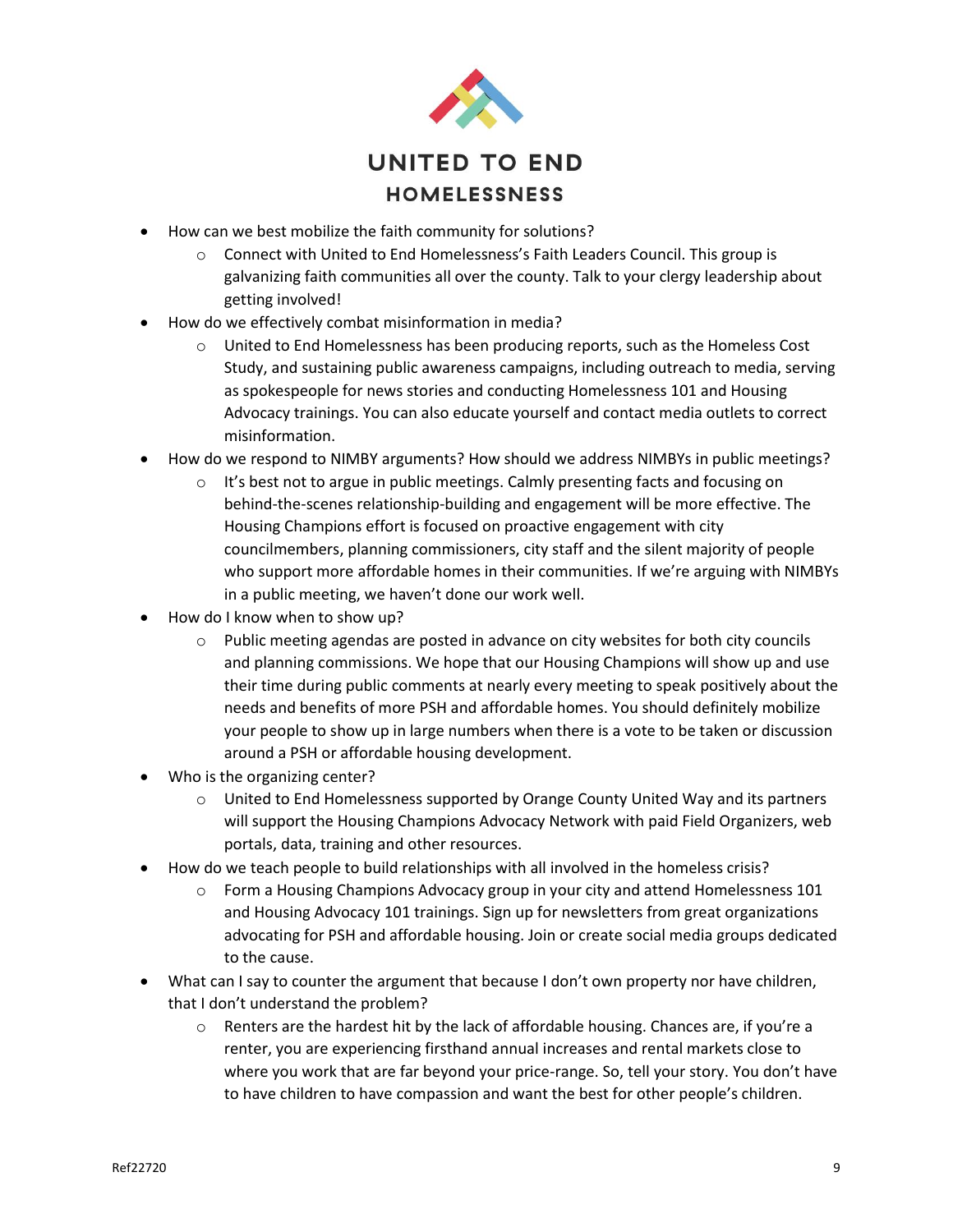

- How can we best mobilize the faith community for solutions?
	- $\circ$  Connect with United to End Homelessness's Faith Leaders Council. This group is galvanizing faith communities all over the county. Talk to your clergy leadership about getting involved!
- How do we effectively combat misinformation in media?
	- $\circ$  United to End Homelessness has been producing reports, such as the Homeless Cost Study, and sustaining public awareness campaigns, including outreach to media, serving as spokespeople for news stories and conducting Homelessness 101 and Housing Advocacy trainings. You can also educate yourself and contact media outlets to correct misinformation.
- How do we respond to NIMBY arguments? How should we address NIMBYs in public meetings?
	- $\circ$  It's best not to argue in public meetings. Calmly presenting facts and focusing on behind-the-scenes relationship-building and engagement will be more effective. The Housing Champions effort is focused on proactive engagement with city councilmembers, planning commissioners, city staff and the silent majority of people who support more affordable homes in their communities. If we're arguing with NIMBYs in a public meeting, we haven't done our work well.
- How do I know when to show up?
	- $\circ$  Public meeting agendas are posted in advance on city websites for both city councils and planning commissions. We hope that our Housing Champions will show up and use their time during public comments at nearly every meeting to speak positively about the needs and benefits of more PSH and affordable homes. You should definitely mobilize your people to show up in large numbers when there is a vote to be taken or discussion around a PSH or affordable housing development.
- Who is the organizing center?
	- $\circ$  United to End Homelessness supported by Orange County United Way and its partners will support the Housing Champions Advocacy Network with paid Field Organizers, web portals, data, training and other resources.
- How do we teach people to build relationships with all involved in the homeless crisis?
	- $\circ$  Form a Housing Champions Advocacy group in your city and attend Homelessness 101 and Housing Advocacy 101 trainings. Sign up for newsletters from great organizations advocating for PSH and affordable housing. Join or create social media groups dedicated to the cause.
- What can I say to counter the argument that because I don't own property nor have children, that I don't understand the problem?
	- $\circ$  Renters are the hardest hit by the lack of affordable housing. Chances are, if you're a renter, you are experiencing firsthand annual increases and rental markets close to where you work that are far beyond your price-range. So, tell your story. You don't have to have children to have compassion and want the best for other people's children.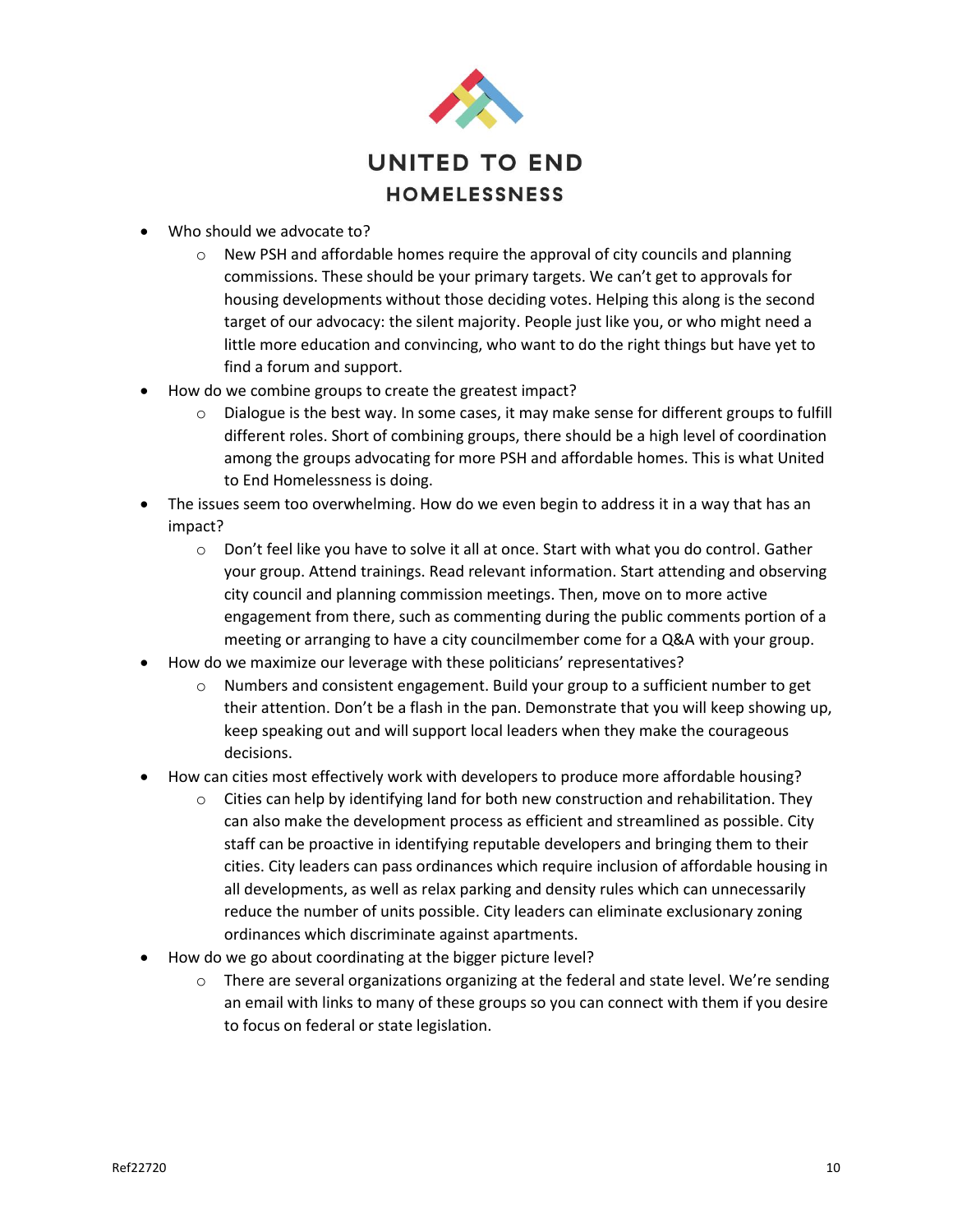

- Who should we advocate to?
	- $\circ$  New PSH and affordable homes require the approval of city councils and planning commissions. These should be your primary targets. We can't get to approvals for housing developments without those deciding votes. Helping this along is the second target of our advocacy: the silent majority. People just like you, or who might need a little more education and convincing, who want to do the right things but have yet to find a forum and support.
- How do we combine groups to create the greatest impact?
	- $\circ$  Dialogue is the best way. In some cases, it may make sense for different groups to fulfill different roles. Short of combining groups, there should be a high level of coordination among the groups advocating for more PSH and affordable homes. This is what United to End Homelessness is doing.
- The issues seem too overwhelming. How do we even begin to address it in a way that has an impact?
	- o Don't feel like you have to solve it all at once. Start with what you do control. Gather your group. Attend trainings. Read relevant information. Start attending and observing city council and planning commission meetings. Then, move on to more active engagement from there, such as commenting during the public comments portion of a meeting or arranging to have a city councilmember come for a Q&A with your group.
- How do we maximize our leverage with these politicians' representatives?
	- $\circ$  Numbers and consistent engagement. Build your group to a sufficient number to get their attention. Don't be a flash in the pan. Demonstrate that you will keep showing up, keep speaking out and will support local leaders when they make the courageous decisions.
- How can cities most effectively work with developers to produce more affordable housing?
	- $\circ$  Cities can help by identifying land for both new construction and rehabilitation. They can also make the development process as efficient and streamlined as possible. City staff can be proactive in identifying reputable developers and bringing them to their cities. City leaders can pass ordinances which require inclusion of affordable housing in all developments, as well as relax parking and density rules which can unnecessarily reduce the number of units possible. City leaders can eliminate exclusionary zoning ordinances which discriminate against apartments.
- How do we go about coordinating at the bigger picture level?
	- $\circ$  There are several organizations organizing at the federal and state level. We're sending an email with links to many of these groups so you can connect with them if you desire to focus on federal or state legislation.